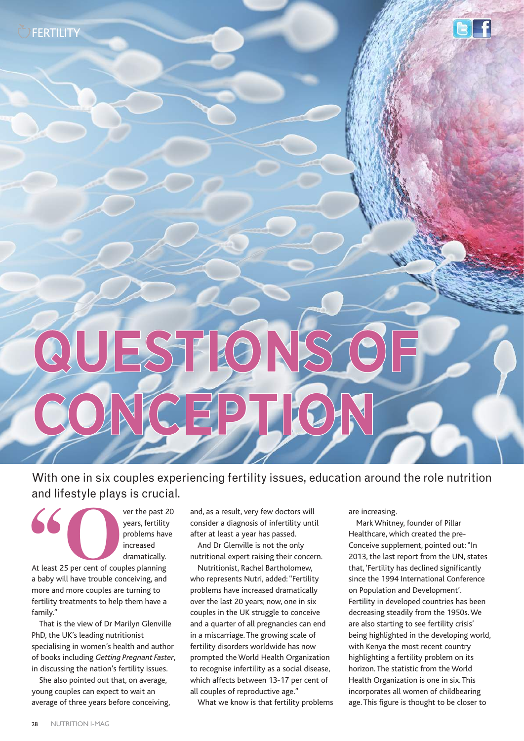FERTILITY

# **QUESTI CONCEPTION**

### With one in six couples experiencing fertility issues, education around the role nutrition and lifestyle plays is crucial.

**SPERIET SERVICE SPECIFY SERVICE SPECIFY SERVICE SPECIFY SERVICE SPECIFY SPECIFY AT LABOR SPECIFY AND A LABOR SPECIFY AND A LABOR SPECIFY AND A LABOR SPECIFY AND A LABOR SPECIFY AND A LABOR SPECIFY AND A LABOR SPECIFY AND** 

years, fertility problems have increased dramatically.

a baby will have trouble conceiving, and more and more couples are turning to fertility treatments to help them have a family."

That is the view of Dr Marilyn Glenville PhD, the UK's leading nutritionist specialising in women's health and author of books including *Getting Pregnant Faster*, in discussing the nation's fertility issues.

She also pointed out that, on average, young couples can expect to wait an average of three years before conceiving, and, as a result, very few doctors will consider a diagnosis of infertility until after at least a year has passed.

And Dr Glenville is not the only nutritional expert raising their concern.

Nutritionist, Rachel Bartholomew, who represents Nutri, added: "Fertility problems have increased dramatically over the last 20 years; now, one in six couples in the UK struggle to conceive and a quarter of all pregnancies can end in a miscarriage. The growing scale of fertility disorders worldwide has now prompted the World Health Organization to recognise infertility as a social disease, which affects between 13-17 per cent of all couples of reproductive age."

What we know is that fertility problems

are increasing.

Mark Whitney, founder of Pillar Healthcare, which created the pre-Conceive supplement, pointed out: "In 2013, the last report from the UN, states that, 'Fertility has declined significantly since the 1994 International Conference on Population and Development'. Fertility in developed countries has been decreasing steadily from the 1950s. We are also starting to see fertility crisis' being highlighted in the developing world, with Kenya the most recent country highlighting a fertility problem on its horizon. The statistic from the World Health Organization is one in six. This incorporates all women of childbearing age. This figure is thought to be closer to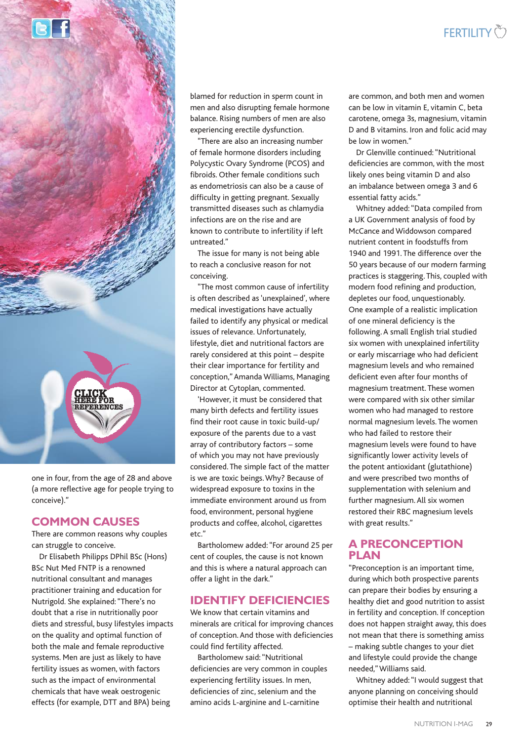

blamed for reduction in sperm count in men and also disrupting female hormone balance. Rising numbers of men are also experiencing erectile dysfunction.

"There are also an increasing number of female hormone disorders including Polycystic Ovary Syndrome (PCOS) and fibroids. Other female conditions such as endometriosis can also be a cause of difficulty in getting pregnant. Sexually transmitted diseases such as chlamydia infections are on the rise and are known to contribute to infertility if left untreated."

The issue for many is not being able to reach a conclusive reason for not conceiving.

"The most common cause of infertility is often described as 'unexplained', where medical investigations have actually failed to identify any physical or medical issues of relevance. Unfortunately, lifestyle, diet and nutritional factors are rarely considered at this point – despite their clear importance for fertility and conception," Amanda Williams, Managing Director at Cytoplan, commented.

'However, it must be considered that many birth defects and fertility issues find their root cause in toxic build-up/ exposure of the parents due to a vast array of contributory factors – some of which you may not have previously considered. The simple fact of the matter is we are toxic beings. Why? Because of widespread exposure to toxins in the immediate environment around us from food, environment, personal hygiene products and coffee, alcohol, cigarettes etc."

Bartholomew added: "For around 25 per cent of couples, the cause is not known and this is where a natural approach can offer a light in the dark."

#### **IDENTIFY DEFICIENCIES**

We know that certain vitamins and minerals are critical for improving chances of conception. And those with deficiencies could find fertility affected.

Bartholomew said: "Nutritional deficiencies are very common in couples experiencing fertility issues. In men, deficiencies of zinc, selenium and the amino acids L-arginine and L-carnitine

are common, and both men and women can be low in vitamin E, vitamin C, beta carotene, omega 3s, magnesium, vitamin D and B vitamins. Iron and folic acid may be low in women."

Dr Glenville continued: "Nutritional deficiencies are common, with the most likely ones being vitamin D and also an imbalance between omega 3 and 6 essential fatty acids."

Whitney added: "Data compiled from a UK Government analysis of food by McCance and Widdowson compared nutrient content in foodstuffs from 1940 and 1991. The difference over the 50 years because of our modern farming practices is staggering. This, coupled with modern food refining and production, depletes our food, unquestionably. One example of a realistic implication of one mineral deficiency is the following. A small English trial studied six women with unexplained infertility or early miscarriage who had deficient magnesium levels and who remained deficient even after four months of magnesium treatment. These women were compared with six other similar women who had managed to restore normal magnesium levels. The women who had failed to restore their magnesium levels were found to have significantly lower activity levels of the potent antioxidant (glutathione) and were prescribed two months of supplementation with selenium and further magnesium. All six women restored their RBC magnesium levels with great results."

#### **A PRECONCEPTION PLAN**

"Preconception is an important time, during which both prospective parents can prepare their bodies by ensuring a healthy diet and good nutrition to assist in fertility and conception. If conception does not happen straight away, this does not mean that there is something amiss – making subtle changes to your diet and lifestyle could provide the change needed," Williams said.

Whitney added: "I would suggest that anyone planning on conceiving should optimise their health and nutritional

one in four, from the age of 28 and above (a more reflective age for people trying to conceive)."

#### **COMMON CAUSES**

**CLICK HERE FOR REFERENCES**

There are common reasons why couples can struggle to conceive.

Dr Elisabeth Philipps DPhil BSc (Hons) BSc Nut Med FNTP is a renowned nutritional consultant and manages practitioner training and education for Nutrigold. She explained: "There's no doubt that a rise in nutritionally poor diets and stressful, busy lifestyles impacts on the quality and optimal function of both the male and female reproductive systems. Men are just as likely to have fertility issues as women, with factors such as the impact of environmental chemicals that have weak oestrogenic effects (for example, DTT and BPA) being